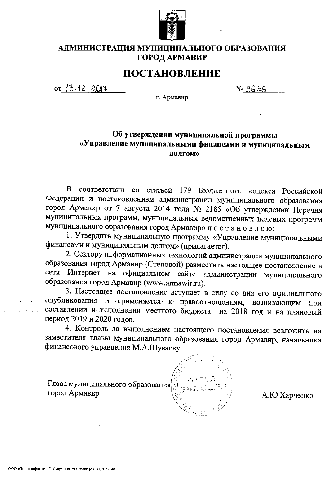

## АДМИНИСТРАЦИЯ МУНИЦИПАЛЬНОГО ОБРАЗОВАНИЯ ГОРОД АРМАВИР

# ПОСТАНОВЛЕНИЕ

 $or 13.12.2011$ 

№ 26 26

г. Армавир

## Об утверждении муниципальной программы «Управление муниципальными финансами и муниципальным долгом»

В соответствии со статьей 179 Бюджетного кодекса Российской Федерации и постановлением администрации муниципального образования город Армавир от 7 августа 2014 года № 2185 «Об утверждении Перечня муниципальных программ, муниципальных ведомственных целевых программ муниципального образования город Армавир» постановляю:

1. Утвердить муниципальную программу «Управление муниципальными финансами и муниципальным долгом» (прилагается).

2. Сектору информационных технологий администрации муниципального образования город Армавир (Степовой) разместить настоящее постановление в сети Интернет на официальном сайте администрации муниципального образования город Армавир (www.armawir.ru).

3. Настоящее постановление вступает в силу со дня его официального опубликования и применяется к правоотношениям, возникающим при составлении и исполнении местного бюджета на 2018 год и на плановый период 2019 и 2020 годов.

4. Контроль за выполнением настоящего постановления возложить на заместителя главы муниципального образования город Армавир, начальника финансового управления М.А.Шуваеву.

Глава муниципального образования город Армавир

А.Ю.Харченко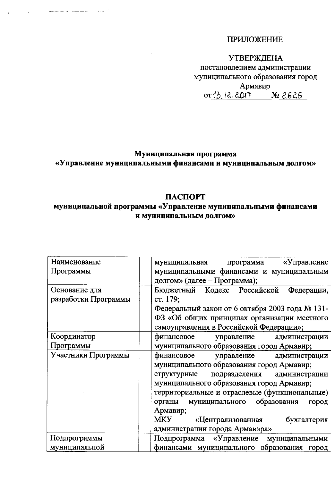# **ПРИЛОЖЕНИЕ**

 $\mathcal{L}_{\text{max}}$  and  $\mathcal{L}_{\text{max}}$ 

# **УТВЕРЖДЕНА**

постановлением администрации муниципального образования город Армавир<br>or<u>13.12.2013</u> № 2626

# Муниципальная программа «Управление муниципальными финансами и муниципальным долгом»

## ПАСПОРТ

# муниципальной программы «Управление муниципальными финансами и муниципальным долгом»

| Наименование         | «Управление<br>муниципальная<br>программа        |
|----------------------|--------------------------------------------------|
| Программы            | муниципальными финансами и муниципальным         |
|                      | долгом» (далее – Программа);                     |
| Основание для        | Бюджетный Кодекс Российской<br>Федерации,        |
| разработки Программы | ст. 179;                                         |
|                      | Федеральный закон от 6 октября 2003 года № 131-  |
|                      | ФЗ «Об общих принципах организации местного      |
|                      | самоуправления в Российской Федерации»;          |
| Координатор          | финансовое<br>управление<br>администрации        |
| Программы            | муниципального образования город Армавир;        |
| Участники Программы  | финансовое<br>управление администрации           |
|                      | муниципального образования город Армавир;        |
|                      | структурные<br>подразделения<br>администрации    |
|                      | муниципального образования город Армавир;        |
|                      | территориальные и отраслевые (функциональные)    |
|                      | образования<br>муниципального<br>органы<br>город |
|                      | Армавир;                                         |
|                      | <b>MKY</b><br>«Централизованная<br>бухгалтерия   |
|                      | администрации города Армавира»                   |
| Подпрограммы         | «Управление<br>Подпрограмма<br>муниципальными    |
| муниципальной        | финансами муниципального образования город       |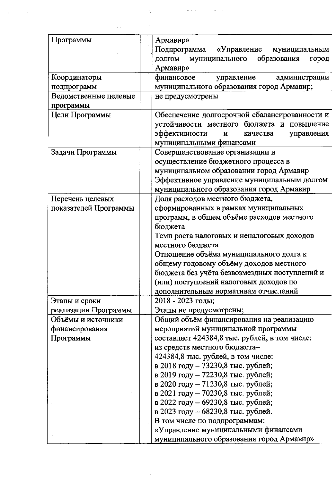| Программы             | Армавир»<br>Подпрограмма<br>«Управление<br>муниципальным                                                                                                               |
|-----------------------|------------------------------------------------------------------------------------------------------------------------------------------------------------------------|
|                       | образования<br>ДОЛГОМ<br>муниципального<br>город<br>Армавир»                                                                                                           |
| Координаторы          | финансовое<br>управление<br>администрации                                                                                                                              |
| подпрограмм           | муниципального образования город Армавир;                                                                                                                              |
| Ведомственные целевые | не предусмотрены                                                                                                                                                       |
| программы             |                                                                                                                                                                        |
| Цели Программы        | Обеспечение долгосрочной сбалансированности и<br>устойчивости местного бюджета и повышение<br>эффективности<br>управления<br>И<br>качества<br>муниципальными финансами |
| Задачи Программы      | Совершенствование организации и                                                                                                                                        |
|                       | осуществление бюджетного процесса в                                                                                                                                    |
|                       | муниципальном образовании город Армавир                                                                                                                                |
|                       | Эффективное управление муниципальным долгом                                                                                                                            |
|                       | муниципального образования город Армавир                                                                                                                               |
| Перечень целевых      | Доля расходов местного бюджета,                                                                                                                                        |
| показателей Программы | сформированных в рамках муниципальных                                                                                                                                  |
|                       | программ, в общем объёме расходов местного                                                                                                                             |
|                       | бюджета                                                                                                                                                                |
|                       | Темп роста налоговых и неналоговых доходов                                                                                                                             |
|                       | местного бюджета                                                                                                                                                       |
|                       | Отношение объёма муниципального долга к                                                                                                                                |
|                       | общему годовому объёму доходов местного                                                                                                                                |
|                       | бюджета без учёта безвозмездных поступлений и                                                                                                                          |
|                       | (или) поступлений налоговых доходов по                                                                                                                                 |
|                       | дополнительным нормативам отчислений                                                                                                                                   |
| Этапы и сроки         | 2018 - 2023 годы;                                                                                                                                                      |
| реализации Программы  | Этапы не предусмотрены;                                                                                                                                                |
| Объёмы и источники    | Общий объём финансирования на реализацию                                                                                                                               |
| финансирования        | мероприятий муниципальной программы                                                                                                                                    |
| Программы             | составляет 424384,8 тыс. рублей, в том числе:                                                                                                                          |
|                       | из средств местного бюджета-                                                                                                                                           |
|                       | 424384,8 тыс. рублей, в том числе:                                                                                                                                     |
|                       | в 2018 году - 73230,8 тыс. рублей;                                                                                                                                     |
|                       | в 2019 году - 72230,8 тыс. рублей;                                                                                                                                     |
|                       | в 2020 году - 71230,8 тыс. рублей;<br>в 2021 году – 70230,8 тыс. рублей;                                                                                               |
|                       | в 2022 году - 69230,8 тыс. рублей;                                                                                                                                     |
|                       | в 2023 году - 68230,8 тыс. рублей.                                                                                                                                     |
|                       | В том числе по подпрограммам:                                                                                                                                          |
|                       | «Управление муниципальными финансами                                                                                                                                   |
|                       | муниципального образования город Армавир»                                                                                                                              |

 $\label{eq:2.1} \frac{1}{\sqrt{2\pi}}\int_{0}^{\infty}d\mu\int_{0}^{\infty}d\mu\int_{0}^{\infty}d\mu\int_{0}^{\infty}d\mu\int_{0}^{\infty}d\mu\int_{0}^{\infty}d\mu\int_{0}^{\infty}d\mu\int_{0}^{\infty}d\mu\int_{0}^{\infty}d\mu\int_{0}^{\infty}d\mu\int_{0}^{\infty}d\mu\int_{0}^{\infty}d\mu\int_{0}^{\infty}d\mu\int_{0}^{\infty}d\mu\int_{0}^{\infty}d\mu\int_{0$ 

 $\label{eq:2.1} \frac{1}{2} \int_{\mathbb{R}^3} \left| \frac{d\mu}{\mu} \right|^2 \, d\mu = \frac{1}{2} \int_{\mathbb{R}^3} \left| \frac{d\mu}{\mu} \right|^2 \, d\mu = \frac{1}{2} \int_{\mathbb{R}^3} \left| \frac{d\mu}{\mu} \right|^2 \, d\mu = \frac{1}{2} \int_{\mathbb{R}^3} \left| \frac{d\mu}{\mu} \right|^2 \, d\mu = \frac{1}{2} \int_{\mathbb{R}^3} \left| \frac{d\mu}{\mu} \right|^2 \, d\mu = \$ 

 $\mathcal{L}_{\text{max}}$  and  $\mathcal{L}_{\text{max}}$ 

 $\mathcal{A}^{\mathcal{A}}$ 

 $\frac{1}{2} \sum_{i=1}^{n} \frac{1}{2} \sum_{j=1}^{n} \frac{1}{2} \sum_{j=1}^{n} \frac{1}{2} \sum_{j=1}^{n} \frac{1}{2} \sum_{j=1}^{n} \frac{1}{2} \sum_{j=1}^{n} \frac{1}{2} \sum_{j=1}^{n} \frac{1}{2} \sum_{j=1}^{n} \frac{1}{2} \sum_{j=1}^{n} \frac{1}{2} \sum_{j=1}^{n} \frac{1}{2} \sum_{j=1}^{n} \frac{1}{2} \sum_{j=1}^{n} \frac{1}{2} \sum_{j=1}^{n$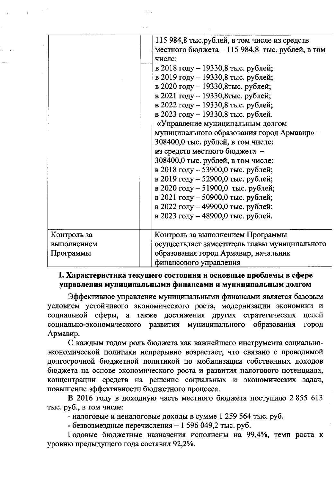|             | 115 984,8 тыс.рублей, в том числе из средств    |
|-------------|-------------------------------------------------|
|             | местного бюджета – 115 984,8 тыс. рублей, в том |
|             | числе:                                          |
|             | в 2018 году – 19330,8 тыс. рублей;              |
|             | в 2019 году – 19330,8 тыс. рублей;              |
|             | в 2020 году - 19330,8тыс. рублей;               |
|             | в 2021 году - 19330, 8тыс. рублей;              |
|             | в 2022 году – 19330,8 тыс. рублей;              |
|             | в 2023 году - 19330,8 тыс. рублей.              |
|             | «Управление муниципальным долгом                |
|             | муниципального образования город Армавир» -     |
|             | 308400,0 тыс. рублей, в том числе:              |
|             | из средств местного бюджета -                   |
|             | 308400,0 тыс. рублей, в том числе:              |
|             | в 2018 году – 53900,0 тыс. рублей;              |
|             | в 2019 году - 52900,0 тыс. рублей;              |
|             | в 2020 году – 51900,0 тыс. рублей;              |
|             | в 2021 году – 50900,0 тыс. рублей;              |
|             | в 2022 году – 49900,0 тыс. рублей;              |
|             | в 2023 году – 48900,0 тыс. рублей.              |
|             |                                                 |
| Контроль за | Контроль за выполнением Программы               |
| выполнением | осуществляет заместитель главы муниципального   |
| Программы   | образования город Армавир, начальник            |
|             | финансового управления                          |

### 1. Характеристика текущего состояния и основные проблемы в сфере управления муниципальными финансами и муниципальным долгом

Эффективное управление муниципальными финансами является базовым условием устойчивого экономического роста, модернизации экономики и социальной сферы, а также достижения других стратегических целей социально-экономического развития муниципального образования ГОРОД Армавир.

С каждым годом роль бюджета как важнейшего инструмента социальноэкономической политики непрерывно возрастает, что связано с проводимой долгосрочной бюджетной политикой по мобилизации собственных доходов бюджета на основе экономического роста и развития налогового потенциала, концентрации средств на решение социальных и экономических задач, повышение эффективности бюджетного процесса.

В 2016 году в доходную часть местного бюджета поступило 2855 613 тыс. руб., в том числе:

- налоговые и неналоговые доходы в сумме 1 259 564 тыс. руб.

- безвозмездные перечисления - 1 596 049,2 тыс. руб.

Годовые бюджетные назначения исполнены на 99,4%, темп роста к уровню предыдущего года составил 92,2%.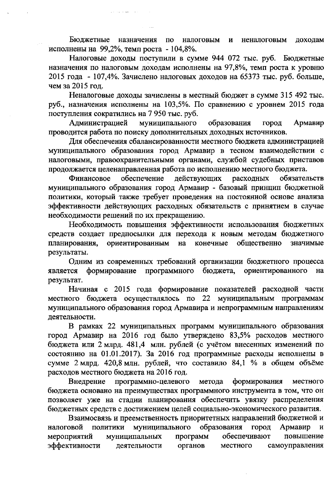Бюджетные назначения  $\overline{a}$ налоговым неналоговым И доходам исполнены на 99,2%, темп роста - 104,8%.

Налоговые доходы поступили в сумме 944 072 тыс. руб. Бюджетные назначения по налоговым доходам исполнены на 97,8%, темп роста к уровню 2015 года - 107,4%. Зачислено налоговых доходов на 65373 тыс. руб. больше, чем за 2015 год.

Неналоговые доходы зачислены в местный бюджет в сумме 315 492 тыс. руб., назначения исполнены на 103,5%. По сравнению с уровнем 2015 года поступления сократились на 7 950 тыс. руб.

муниципального Администрацией образования город Армавир проводится работа по поиску дополнительных доходных источников.

Для обеспечения сбалансированности местного бюджета администрацией муниципального образования город Армавир в тесном взаимодействии с налоговыми, правоохранительными органами, службой судебных приставов продолжается целенаправленная работа по исполнению местного бюджета.

действующих расходных обеспечение обязательств Финансовое муниципального образования город Армавир - базовый принцип бюджетной политики, который также требует проведения на постоянной основе анализа эффективности действующих расходных обязательств с принятием в случае необходимости решений по их прекращению.

Необходимость повышения эффективности использования бюджетных средств создает предпосылки для перехода к новым методам бюджетного ориентированным конечные общественно планирования, на значимые результаты.

Одним из современных требований организации бюджетного процесса является формирование программного бюджета, ориентированного на результат.

Начиная с 2015 года формирование показателей расходной части местного бюджета осуществлялось по 22 муниципальным программам муниципального образования город Армавира и непрограммным направлениям деятельности.

В рамках 22 муниципальных программ муниципального образования город Армавир на 2016 год было утверждено 83,5% расходов местного бюджета или 2 млрд. 481,4 млн. рублей (с учётом внесенных изменений по состоянию на 01.01.2017). За 2016 год программные расходы исполнены в сумме 2 млрд. 420,8 млн. рублей, что составило 84,1 % в общем объёме расходов местного бюджета на 2016 год.

программно-целевого Внедрение формирования метода местного бюджета основано на преимуществах программного инструмента в том, что он позволяет уже на стадии планирования обеспечить увязку распределения бюджетных средств с достижением целей социально-экономического развития.

Взаимосвязь и преемственность приоритетных направлений бюджетной и муниципального образования ПОЛИТИКИ город налоговой Армавир  $\mathbf{M}$ муниципальных мероприятий программ обеспечивают повышение эффективности органов деятельности местного самоуправления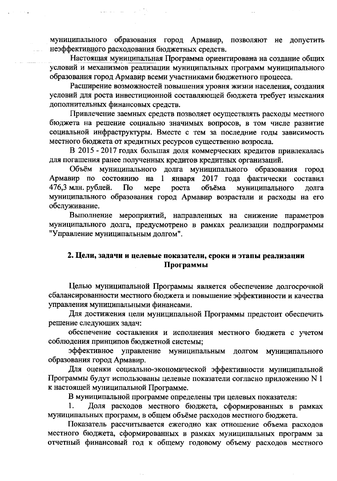муниципального образования город Армавир, позволяют не допустить неэффективного расходования бюджетных средств.

Настоящая муниципальная Программа ориентирована на создание общих условий и механизмов реализации муниципальных программ муниципального образования город Армавир всеми участниками бюджетного процесса.

Расширение возможностей повышения уровня жизни населения, создания условий для роста инвестиционной составляющей бюджета требует изыскания дополнительных финансовых средств.

Привлечение заемных средств позволяет осуществлять расходы местного бюджета на решение социально значимых вопросов, в том числе развитие социальной инфраструктуры. Вместе с тем за последние годы зависимость местного бюджета от кредитных ресурсов существенно возросла.

В 2015 - 2017 годах большая доля коммерческих кредитов привлекалась для погашения ранее полученных кредитов кредитных организаций.

Объём муниципального долга муниципального образования город 2017 года фактически составил Армавир по состоянию на 1 января 476,3 млн. рублей. объёма  $\Gamma$ Io Mepe роста муниципального долга муниципального образования город Армавир возрастали и расходы на его обслуживание.

Выполнение мероприятий, направленных на снижение параметров муниципального долга, предусмотрено в рамках реализации подпрограммы "Управление муниципальным долгом".

### 2. Цели, задачи и целевые показатели, сроки и этапы реализации Программы

Целью муниципальной Программы является обеспечение долгосрочной сбалансированности местного бюджета и повышение эффективности и качества управления муниципальными финансами.

Для достижения цели муниципальной Программы предстоит обеспечить решение следующих задач:

обеспечение составления и исполнения местного бюджета с учетом соблюдения принципов бюджетной системы;

эффективное управление муниципальным долгом муниципального образования город Армавир.

Для оценки социально-экономической эффективности муниципальной Программы будут использованы целевые показатели согласно приложению N 1 к настоящей муниципальной Программе.

В муниципальной программе определены три целевых показателя:

Доля расходов местного бюджета, сформированных в рамках муниципальных программ, в общем объёме расходов местного бюджета.

Показатель рассчитывается ежегодно как отношение объема расходов местного бюджета, сформированных в рамках муниципальных программ за отчетный финансовый год к общему годовому объему расходов местного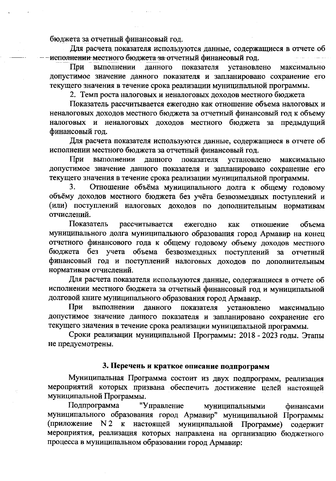бюджета за отчетный финансовый год.

Для расчета показателя используются данные, содержащиеся в отчете об иеполнении местного бюджета за отчетный финансовый год.

При выполнении данного показателя установлено максимально допустимое значение данного показателя и запланировано сохранение его текущего значения в течение срока реализации муниципальной программы.

2. Темп роста налоговых и неналоговых доходов местного бюджета

Показатель рассчитывается ежегодно как отношение объема налоговых и неналоговых доходов местного бюджета за отчетный финансовый год к объему налоговых и неналоговых доходов местного бюджета за предыдущий финансовый год.

Для расчета показателя используются данные, содержащиеся в отчете об исполнении местного бюджета за отчетный финансовый год.

При выполнении данного показателя установлено максимально допустимое значение данного показателя и запланировано сохранение его текущего значения в течение срока реализации муниципальной программы.

Отношение объёма муниципального долга к общему годовому 3. объёму доходов местного бюджета без учёта безвозмездных поступлений и (или) поступлений налоговых доходов по дополнительным нормативам отчислений.

Показатель рассчитывается ежегодно как отношение объема муниципального долга муниципального образования город Армавир на конец отчетного финансового года к общему годовому объему доходов местного бюджета без учета объема безвозмездных поступлений за отчетный финансовый год и поступлений налоговых доходов по дополнительным нормативам отчислений.

Для расчета показателя используются данные, содержащиеся в отчете об исполнении местного бюджета за отчетный финансовый год и муниципальной долговой книге муниципального образования город Армавир.

При выполнении данного показателя установлено максимально допустимое значение данного показателя и запланировано сохранение его текущего значения в течение срока реализации муниципальной программы.

Сроки реализации муниципальной Программы: 2018 - 2023 годы. Этапы не предусмотрены.

#### 3. Перечень и краткое описание подпрограмм

Муниципальная Программа состоит из двух подпрограмм, реализация мероприятий которых призвана обеспечить достижение целей настоящей муниципальной Программы.

Подпрограмма "Управление муниципальными финансами муниципального образования город Армавир" муниципальной Программы (приложение N2 к настоящей муниципальной Программе) содержит мероприятия, реализация которых направлена на организацию бюджетного процесса в муниципальном образовании город Армавир: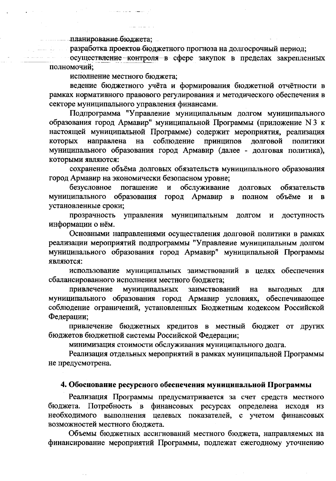планирование бюджета;

празработка проектов бюджетного прогноза на долгосрочный период;

осуществление контроля в сфере закупок в пределах закрепленных полномочий:

исполнение местного бюджета;

 $\ldots$   $\ldots$   $\ldots$   $\ldots$ 

ведение бюджетного учёта и формирования бюджетной отчётности в рамках нормативного правового регулирования и методического обеспечения в секторе муниципального управления финансами.

Подпрограмма "Управление муниципальным долгом муниципального образования город Армавир" муниципальной Программы (приложение N 3 к настоящей муниципальной Программе) содержит мероприятия, реализация направлена соблюдение принципов долговой которых на ПОЛИТИКИ муниципального образования город Армавир (далее - долговая политика), которыми являются:

сохранение объёма долговых обязательств муниципального образования город Армавир на экономически безопасном уровне;

погашение обслуживание безусловное  $\mathbf{H}$ обязательств ДОЛГОВЫХ муниципального образования город Армавир в полном объёме и в установленные сроки;

прозрачность управления муниципальным долгом доступность  $\mathbf{M}$ информации о нём.

Основными направлениями осуществления долговой политики в рамках реализации мероприятий подпрограммы "Управление муниципальным долгом муниципального образования город Армавир" муниципальной Программы являются:

использование муниципальных заимствований в целях обеспечения сбалансированного исполнения местного бюджета;

муниципальных привлечение заимствований на выгодных ДЛЯ муниципального образования город Армавир условиях, обеспечивающее соблюдение ограничений, установленных Бюджетным кодексом Российской Федерации;

привлечение бюджетных кредитов в местный бюджет от других бюджетов бюджетной системы Российской Федерации;

минимизация стоимости обслуживания муниципального долга.

Реализация отдельных мероприятий в рамках муниципальной Программы не предусмотрена.

#### 4. Обоснование ресурсного обеспечения муниципальной Программы

Реализация Программы предусматривается за счет средств местного бюджета. Потребность в финансовых ресурсах определена исходя из необходимого выполнения целевых показателей, с учетом финансовых возможностей местного бюджета.

Объемы бюджетных ассигнований местного бюджета, направляемых на финансирование мероприятий Программы, подлежат ежегодному уточнению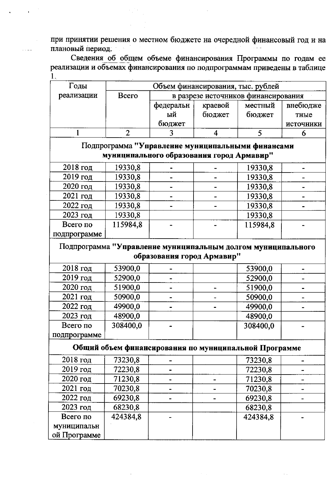при принятии решения о местном бюджете на очередной финансовый год и на плановый период.

Сведения об общем объеме финансирования Программы по годам ее реализации и объемах финансирования по подпрограммам приведены в таблице  $1.$ 

| Годы       |               |           | Объем финансирования, тыс. рублей   |         |           |
|------------|---------------|-----------|-------------------------------------|---------|-----------|
| реализации | <b>B</b> cero |           | в разрезе источников финансирования |         |           |
|            |               | федеральн | краевой                             | местный | внебюдже  |
|            |               | ый        | бюджет                              | бюджет  | тные      |
|            |               | бюджет    |                                     |         | источники |
|            |               |           |                                     |         |           |

Подпрограмма "Управление муниципальными финансами муниципального образования город Армавир"

| $2018$ год   | 19330,8  |  | 19330,8  |  |
|--------------|----------|--|----------|--|
| 2019 год     | 19330,8  |  | 19330,8  |  |
| $2020$ год   | 19330,8  |  | 19330,8  |  |
| $2021$ год   | 19330,8  |  | 19330,8  |  |
| 2022 год     | 19330,8  |  | 19330,8  |  |
| 2023 год     | 19330,8  |  | 19330,8  |  |
| Всего по     | 115984,8 |  | 115984,8 |  |
| подпрограмме |          |  |          |  |

Подпрограмма "Управление муниципальным долгом муниципального образования город Армавир"

| $2018$ год   | 53900,0  |  | 53900,0  |  |
|--------------|----------|--|----------|--|
| $2019$ год   | 52900,0  |  | 52900,0  |  |
| $2020$ год   | 51900,0  |  | 51900,0  |  |
| 2021 год     | 50900,0  |  | 50900,0  |  |
| 2022 год     | 49900,0  |  | 49900,0  |  |
| 2023 год     | 48900,0  |  | 48900,0  |  |
| Всего по     | 308400,0 |  | 308400,0 |  |
| подпрограмме |          |  |          |  |

Общий объем финансирования по муниципальной Программе

| $2018$ год   | 73230,8  |  | 73230,8  |  |
|--------------|----------|--|----------|--|
| $2019$ год   | 72230,8  |  | 72230,8  |  |
| $2020$ год   | 71230,8  |  | 71230,8  |  |
| 2021 год     | 70230,8  |  | 70230,8  |  |
| $2022$ год   | 69230,8  |  | 69230,8  |  |
| 2023 год     | 68230,8  |  | 68230,8  |  |
| Всего по     | 424384,8 |  | 424384,8 |  |
| муниципальн  |          |  |          |  |
| ой Программе |          |  |          |  |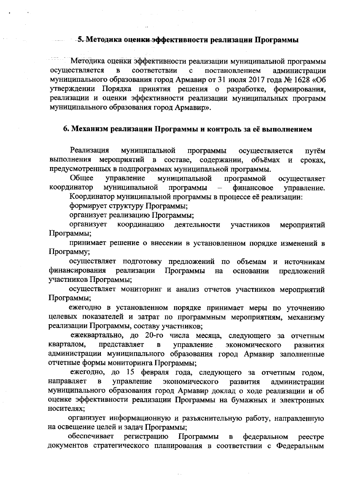#### - 5. Методика оценки эффективности реализации Программы

Методика оценки эффективности реализации муниципальной программы осуществляется соответствии постановлением  $\mathbf{B}$  $\mathbf{C}$ администрации муниципального образования город Армавир от 31 июля 2017 года № 1628 «Об утверждении Порядка принятия решения о разработке, формирования, реализации и оценки эффективности реализации муниципальных программ муниципального образования город Армавир».

#### 6. Механизм реализации Программы и контроль за её выполнением

Реализация муниципальной программы осуществляется путём мероприятий в составе, выполнения содержании, объёмах  $\mathbf{H}$ сроках, предусмотренных в подпрограммах муниципальной программы.

Общее управление муниципальной программой осуществляет координатор муниципальной программы финансовое управление.  $\overline{\phantom{m}}$ 

Координатор муниципальной программы в процессе её реализации:

формирует структуру Программы;

организует реализацию Программы;

координацию организует деятельности участников мероприятий Программы;

принимает решение о внесении в установленном порядке изменений в Программу;

осуществляет подготовку предложений по объемам и источникам финансирования реализации Программы на основании предложений участников Программы;

осуществляет мониторинг и анализ отчетов участников мероприятий Программы;

ежегодно в установленном порядке принимает меры по уточнению целевых показателей и затрат по программным мероприятиям, механизму реализации Программы, составу участников;

ежеквартально, до 20-го числа месяца, следующего за отчетным кварталом, представляет управление  $\, {\bf B} \,$ экономического развития администрации муниципального образования город Армавир заполненные отчетные формы мониторинга Программы;

ежегодно, до 15 февраля года, следующего за отчетным годом, направляет  $\, {\bf B}$ управление экономического развития администрации муниципального образования город Армавир доклад о ходе реализации и об оценке эффективности реализации Программы на бумажных и электронных носителях;

организует информационную и разъяснительную работу, направленную на освещение целей и задач Программы;

обеспечивает регистрацию Программы  $\mathbf{B}$ федеральном peecrpe документов стратегического планирования в соответствии с Федеральным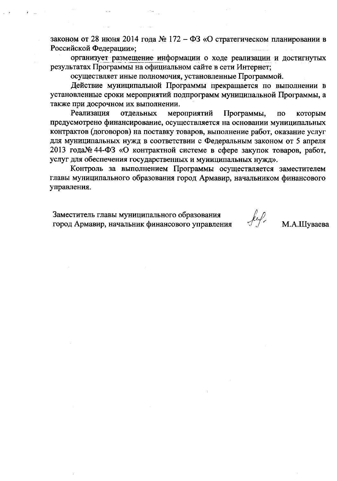законом от 28 июня 2014 года № 172 – ФЗ «О стратегическом планировании в Российской Федерации»;

организует размещение информации о ходе реализации и достигнутых результатах Программы на официальном сайте в сети Интернет;

осуществляет иные полномочия, установленные Программой.

Действие муниципальной Программы прекращается по выполнении в установленные сроки мероприятий подпрограмм муниципальной Программы, а также при досрочном их выполнении.

Реализация отдельных мероприятий Программы,  $\overline{10}$ которым предусмотрено финансирование, осуществляется на основании муниципальных контрактов (договоров) на поставку товаров, выполнение работ, оказание услуг для муниципальных нужд в соответствии с Федеральным законом от 5 апреля 2013 года№ 44-ФЗ «О контрактной системе в сфере закупок товаров, работ, услуг для обеспечения государственных и муниципальных нужд».

Контроль за выполнением Программы осуществляется заместителем главы муниципального образования город Армавир, начальником финансового управления.

Заместитель главы муниципального образования город Армавир, начальник финансового управления

М.А.Шуваева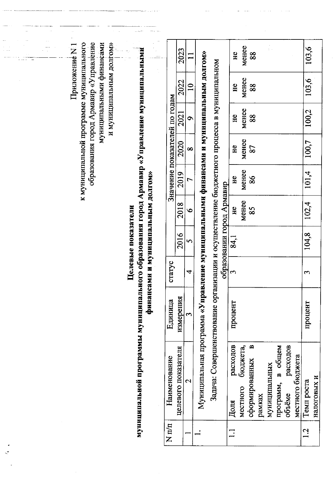| Приложение N 1                                                                                                                           |                                                                                           |                               | 2023                |                          |                                                                                              |                                                                                           |                           | He               | менее                | 88                                                |               |                      |                    |                  | 103,6              |             |
|------------------------------------------------------------------------------------------------------------------------------------------|-------------------------------------------------------------------------------------------|-------------------------------|---------------------|--------------------------|----------------------------------------------------------------------------------------------|-------------------------------------------------------------------------------------------|---------------------------|------------------|----------------------|---------------------------------------------------|---------------|----------------------|--------------------|------------------|--------------------|-------------|
|                                                                                                                                          |                                                                                           |                               | 2022                | $\overline{\phantom{0}}$ |                                                                                              |                                                                                           |                           | H <sub>c</sub>   | менее                | 88                                                |               |                      |                    |                  | 103,6              |             |
| образования город Армавир «Управление<br>к муниципальной программе муниципального<br>муниципальными финансами<br>и муниципальным долгом» |                                                                                           | Значение показателей по годам | 2021                | ⌒                        |                                                                                              |                                                                                           |                           | He               | менее                | 88                                                |               |                      |                    |                  | 100,2              |             |
|                                                                                                                                          |                                                                                           |                               | 2020                | ∞                        |                                                                                              |                                                                                           |                           | H <sub>c</sub>   | менее                | 87                                                |               |                      |                    |                  | 100,7              |             |
|                                                                                                                                          |                                                                                           |                               | 2019                |                          |                                                                                              |                                                                                           |                           | H <sub>c</sub>   | MeHee                | 86                                                |               |                      |                    |                  | 101,4              |             |
|                                                                                                                                          | и и муниципальным долгом»                                                                 |                               | 2018                | $\bullet$                |                                                                                              |                                                                                           | образовании город Армавир | H <sub>c</sub>   | MeHee                | 85                                                |               |                      |                    |                  | 102,4              |             |
|                                                                                                                                          | Целевые показатели                                                                        |                               | 2016                | 5                        |                                                                                              |                                                                                           |                           | 84,1             |                      |                                                   |               |                      |                    |                  | 104,8              |             |
|                                                                                                                                          |                                                                                           | craryc                        |                     | 4                        |                                                                                              |                                                                                           |                           | $\mathbf{c}$     |                      |                                                   |               |                      |                    |                  | $\mathbf{\hat{z}}$ |             |
|                                                                                                                                          | финансам                                                                                  | Единица                       | измерения           | S                        |                                                                                              |                                                                                           |                           | процент          |                      |                                                   |               |                      |                    |                  | процент            |             |
|                                                                                                                                          | муницильной программы муниципального образования город Армавир «Управление муниципальными | Наименование                  | целевого показателя | $\mathbf{\Omega}$        | Муниципальная программа «Уп <b>равление муниципальными финансами и муниципальным</b> долгом» | Задача: Совершенствование организации и осуществление бюджетного процесса в муниципальном |                           | расходов<br>Доля | бюджета,<br>MecTHOFO | $\boldsymbol{\alpha}$<br>сформированных<br>рамках | муниципальных | в общем<br>программ, | расходов<br>объёме | местного бюджета | Темп роста         | налоговых и |
|                                                                                                                                          |                                                                                           | $N \pi/\pi$                   |                     |                          |                                                                                              |                                                                                           |                           | $\mathbf{1}$     |                      |                                                   |               |                      |                    |                  | 1.2                |             |

 $\hat{f}$  , and  $\hat{f}$  , and  $\hat{f}$  , and  $\hat{f}$  , and  $\hat{f}$  , and  $\hat{f}$  , and  $\hat{f}$  , and  $\hat{f}$ 

الأرساليات

 $\zeta$ 

enti t<del>ri provinci p</del>ersoni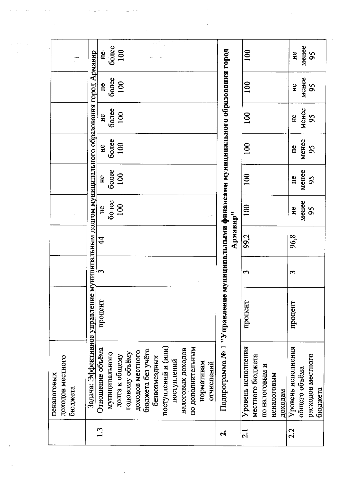|                                            |                                                               |                               |                |                |                 |                  |                   | $\mathbf{v} \rightarrow$ |                     |             |                   |                   |            |            |                                                         |          |                    |                  |                |             |         |                    |               |                   |
|--------------------------------------------|---------------------------------------------------------------|-------------------------------|----------------|----------------|-----------------|------------------|-------------------|--------------------------|---------------------|-------------|-------------------|-------------------|------------|------------|---------------------------------------------------------|----------|--------------------|------------------|----------------|-------------|---------|--------------------|---------------|-------------------|
|                                            |                                                               | HC                            | более          | 100            |                 |                  |                   |                          |                     |             |                   |                   |            |            |                                                         |          | 100                |                  |                |             |         | He                 | менее         | $\mathcal{S}$     |
|                                            |                                                               | He                            | более          | 100            |                 |                  |                   |                          |                     |             |                   |                   |            |            |                                                         |          | 100                |                  |                |             |         | He                 | менее         | 95                |
|                                            |                                                               | He                            | более          | 100            |                 |                  |                   |                          |                     |             |                   |                   |            |            |                                                         |          | 100                |                  |                |             |         | H <sub>c</sub>     | менее         | 95                |
|                                            |                                                               | He                            | более          | 100            |                 |                  |                   |                          |                     |             |                   |                   |            |            |                                                         |          | 100                |                  |                |             |         | He                 | менее         | 95                |
|                                            | муниципальным долгом муниципального образования город Армавир | H <sub>e</sub>                | более          | 100            |                 |                  |                   |                          |                     |             |                   |                   |            |            | муницильными финансами муниципального образования город |          | $\overline{100}$   |                  |                |             |         | He                 | менее         | 95                |
|                                            |                                                               | He                            | более          | 100            |                 |                  |                   |                          |                     |             |                   |                   |            | riji d     |                                                         |          | 100                |                  |                |             |         | He                 | MeHee         | 95                |
|                                            |                                                               | $\frac{4}{3}$                 |                |                |                 |                  |                   |                          |                     |             |                   |                   |            |            |                                                         | Армавир" | 99,2               |                  |                |             |         | 96,8               |               |                   |
|                                            |                                                               | 3                             |                |                |                 |                  |                   |                          |                     |             |                   |                   |            |            |                                                         |          | S                  |                  |                |             |         | $\sim$             |               |                   |
|                                            |                                                               | процент                       |                |                |                 |                  |                   |                          |                     |             |                   |                   |            |            |                                                         |          | процент            |                  |                |             |         | процент            |               |                   |
| доходов местного<br>неналоговых<br>бюджета | Задача: Эффективное управление                                | Отношение объёма              | муниципального | долга к общему | годовому объёму | доходов местного | бюджета без учёта | безвозмездных            | поступлений и (или) | поступлений | налоговых доходов | по дополнительным | нормативам | отчислений | Подпрограмма № 1 "Управленне                            |          | Уровень исполнения | местного бюджета | по налоговым и | неналоговым | доходам | Уровень исполнения | общего объёма | расходов местного |
|                                            |                                                               | $\mathbf{1} \cdot \mathbf{3}$ |                |                |                 |                  |                   |                          |                     |             |                   |                   |            |            | નં                                                      |          | $\overline{2.1}$   |                  |                |             |         | 2.2                |               |                   |

أنستنسب أساء أراد

<u>Listen voormal</u>

 $\mathcal{A}^{\mathcal{A}}$ 

 $\frac{1}{2} \frac{1}{2} \frac{1}{2} \frac{1}{2}$ 

 $\frac{1}{2}$ 

 $\langle \cdots \cdots \rangle_{\alpha}$  is a decay

 $\langle \cdots \rangle$  ,  $\omega_{\rm eff}$ 

 $\begin{split} \mathcal{L}^{(1)}(t) & = \mathcal{L}^{(1)}(t) \\ & = \mathcal{L}^{(1)}(t) \\ & = \mathcal{L}^{(1)}(t) \end{split}$ 

 $\hat{\mathbf{a}}$ 

 $\omega_{\rm{eff}}$  .

 $\sim$ 

 $\sim \eta_{\rm c}$  .

 $\bar{\beta}$ 

 $\sim$   $\sim$ 

 $\frac{1}{2} \left( \frac{1}{2} \right)$ 

 $\sim$   $\sim$ 

 $\label{eq:2} \frac{1}{\sqrt{2}}\sum_{i=1}^n\frac{1}{\sqrt{2}}\sum_{i=1}^n\frac{1}{\sqrt{2}}\sum_{i=1}^n\frac{1}{\sqrt{2}}\sum_{i=1}^n\frac{1}{\sqrt{2}}\sum_{i=1}^n\frac{1}{\sqrt{2}}\sum_{i=1}^n\frac{1}{\sqrt{2}}\sum_{i=1}^n\frac{1}{\sqrt{2}}\sum_{i=1}^n\frac{1}{\sqrt{2}}\sum_{i=1}^n\frac{1}{\sqrt{2}}\sum_{i=1}^n\frac{1}{\sqrt{2}}\sum_{i=1}^n\frac{1$ 

 $\sim$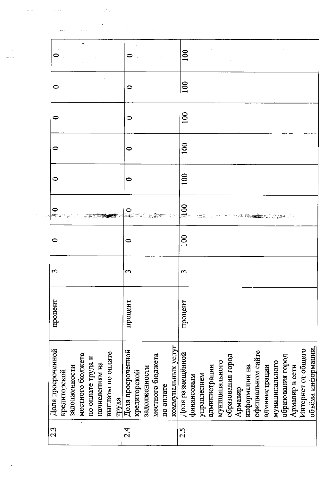| 0                                 |                                   |                                     |                            |                   |              |               |                  |           |                    | $\overline{100}$            |            |             |               |                |                   |         |               |                   |               |                |                   |                |                    |                    |
|-----------------------------------|-----------------------------------|-------------------------------------|----------------------------|-------------------|--------------|---------------|------------------|-----------|--------------------|-----------------------------|------------|-------------|---------------|----------------|-------------------|---------|---------------|-------------------|---------------|----------------|-------------------|----------------|--------------------|--------------------|
| ᅌ                                 |                                   |                                     |                            | 0                 |              |               |                  |           |                    | 100                         |            |             |               |                |                   |         |               |                   |               |                |                   |                |                    |                    |
| 0                                 |                                   |                                     |                            | 0                 |              |               |                  |           |                    | 100                         |            |             |               |                |                   |         |               |                   |               |                |                   |                |                    |                    |
| 0                                 |                                   |                                     |                            | 0                 |              |               |                  |           |                    | 100                         |            |             |               |                |                   |         |               |                   |               |                |                   |                |                    |                    |
| $\bullet$                         |                                   |                                     |                            | 0                 |              |               |                  |           |                    | 100                         |            |             |               |                |                   |         |               |                   |               |                |                   |                |                    |                    |
|                                   |                                   |                                     |                            |                   |              |               |                  |           |                    | $\overline{\phantom{0}100}$ |            |             |               |                |                   |         |               |                   |               |                |                   |                |                    |                    |
| $\bullet$                         |                                   |                                     |                            | 0                 |              |               |                  |           |                    | $\mathbf{S}$                |            |             |               |                |                   |         |               |                   |               |                |                   |                |                    |                    |
| 3                                 |                                   |                                     |                            | m                 |              |               |                  |           |                    | $\sim$                      |            |             |               |                |                   |         |               |                   |               |                |                   |                |                    |                    |
| процент                           |                                   |                                     |                            | процент           |              |               |                  |           |                    | процент                     |            |             |               |                |                   |         |               |                   |               |                |                   |                |                    |                    |
| Доля просроченной<br>кредиторской | местного бюджета<br>задолженности | по оплате труда и<br>начислениям на | выплаты по оплате<br>труда | Доля просроченной | кредиторской | задолженности | местного бюджета | по оплате | коммунальных услуг | Доля размещённой            | финансовым | управлением | администрации | муниципального | образования город | Армавир | информации на | официальном сайте | администрации | муниципального | образования город | Армавир в сети | Интернет от общего | объёма информации, |
| 2.3                               |                                   |                                     |                            | 2.4               |              |               |                  |           |                    | 2.5                         |            |             |               |                |                   |         |               |                   |               |                |                   |                |                    |                    |

 $\sim 10^6$ 

 $\mathcal{L}_{\mathcal{A}}$ 

 $\label{eq:2} \frac{1}{2} \sum_{i=1}^n \frac{1}{2} \sum_{j=1}^n \frac{1}{2} \sum_{j=1}^n \frac{1}{2} \sum_{j=1}^n \frac{1}{2} \sum_{j=1}^n \frac{1}{2} \sum_{j=1}^n \frac{1}{2} \sum_{j=1}^n \frac{1}{2} \sum_{j=1}^n \frac{1}{2} \sum_{j=1}^n \frac{1}{2} \sum_{j=1}^n \frac{1}{2} \sum_{j=1}^n \frac{1}{2} \sum_{j=1}^n \frac{1}{2} \sum_{j=1}^n \frac{1}{$ 

لأنابذ والأولاء

 $\frac{1}{2}$ 

 $\omega$  and  $\omega$ 

 $\frac{1}{2} \frac{1}{2} \frac{1}{2} \frac{1}{2}$ 

 $\sim$  1004  $\sim$ 

 $\sim 3\%$  $\begin{aligned} \mathcal{L}_{\text{max}}(\mathcal{L}_{\text{max}}, \mathcal{L}_{\text{max}}) &\geq 0. \end{aligned}$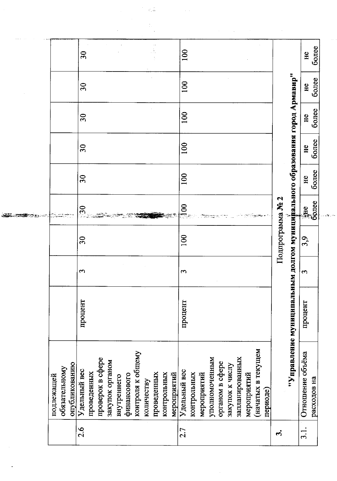|                                              |                             |                                                    |                                  | $\tau_*\mathbb{Z}$        |                            |                |             |                               |                 |                                    |             |                   |          |                  |                                                                             |                  |             |
|----------------------------------------------|-----------------------------|----------------------------------------------------|----------------------------------|---------------------------|----------------------------|----------------|-------------|-------------------------------|-----------------|------------------------------------|-------------|-------------------|----------|------------------|-----------------------------------------------------------------------------|------------------|-------------|
|                                              |                             |                                                    |                                  |                           |                            |                |             |                               |                 |                                    |             |                   |          |                  |                                                                             |                  |             |
|                                              | 30                          |                                                    |                                  |                           |                            | 100            |             |                               |                 |                                    |             |                   |          |                  |                                                                             | H <sub>c</sub>   | более       |
|                                              | 30                          |                                                    |                                  |                           |                            | 100            |             |                               |                 |                                    |             |                   |          |                  |                                                                             | H <sup>c</sup>   | более       |
|                                              | $\overline{30}$             |                                                    |                                  |                           |                            | 100            |             |                               |                 |                                    |             |                   |          |                  |                                                                             | He               | более       |
|                                              | 30                          |                                                    |                                  |                           |                            | 100            |             |                               |                 |                                    |             |                   |          |                  |                                                                             | H <sub>c</sub>   | более       |
|                                              | 30                          |                                                    |                                  |                           |                            | 100            |             |                               |                 |                                    |             |                   |          |                  |                                                                             | H <sub>c</sub>   | более       |
|                                              | 30                          |                                                    |                                  |                           |                            | $\frac{8}{10}$ |             |                               |                 |                                    |             |                   |          | Подпрограмма № 2 |                                                                             | не<br>более      |             |
|                                              | 30                          |                                                    |                                  |                           |                            | 100            |             |                               |                 |                                    |             |                   |          |                  |                                                                             | 3,9              |             |
|                                              | $\mathbf{c}$                |                                                    |                                  |                           |                            | S              |             |                               |                 |                                    |             |                   |          |                  |                                                                             | 3                |             |
|                                              | процент                     |                                                    |                                  |                           |                            | процент        |             |                               |                 |                                    |             |                   |          |                  | "Управление муниципальным долгом муницијцального образования город Армавир" | процент          |             |
| опубликованию<br>обязательному<br>подлежащей | Удельный вес<br>проведенных | проверок в сфере<br>закупок органом<br>внутреннего | контроля к общему<br>финансового | проведенных<br>количеству | контрольных<br>мероприятий | Удельный вес   | контрольных | уполномоченным<br>мероприятий | органом в сфере | запланированных<br>закупок к числу | мероприятий | мэшүмэт в текущем | периоде) |                  |                                                                             | Отношение объёма | расходов на |
|                                              | 2.6                         |                                                    |                                  |                           |                            | 2.7            |             |                               |                 |                                    |             |                   |          | ကိ               |                                                                             | $\frac{1}{3}$ .  |             |

 $\mathbb{R}^2$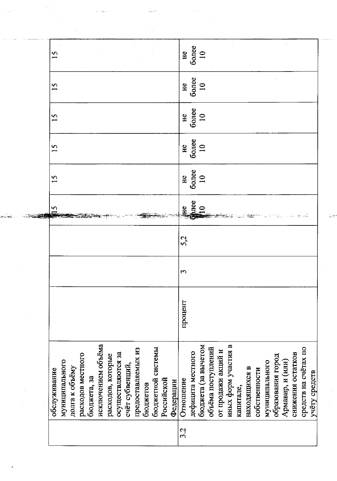| S                             |                                  |                   |             |                    |                   |                   |                 |                    |          |                   |            |           | $rac{16}{60}$                             |                   |                     |                    |                    |                     |           |               |               |                |                   |                  |                   |                      |               |
|-------------------------------|----------------------------------|-------------------|-------------|--------------------|-------------------|-------------------|-----------------|--------------------|----------|-------------------|------------|-----------|-------------------------------------------|-------------------|---------------------|--------------------|--------------------|---------------------|-----------|---------------|---------------|----------------|-------------------|------------------|-------------------|----------------------|---------------|
| S                             |                                  |                   |             |                    |                   |                   |                 |                    |          |                   |            |           | $rac{1}{\sqrt{2}}$<br>$rac{10}{\sqrt{2}}$ |                   |                     |                    |                    |                     |           |               |               |                |                   |                  |                   |                      |               |
| S                             |                                  |                   |             |                    |                   |                   |                 |                    |          |                   |            |           | H <sub>c</sub>                            | $6$ onee          |                     |                    |                    |                     |           |               |               |                |                   |                  |                   |                      |               |
| n                             |                                  |                   |             |                    |                   |                   |                 |                    |          |                   |            |           | $rac{16}{60}$                             |                   |                     |                    |                    |                     |           |               |               |                |                   |                  |                   |                      |               |
| n<br>$\overline{\phantom{0}}$ |                                  |                   |             |                    |                   |                   |                 |                    |          |                   |            |           | $rac{1}{\sqrt{10}}$                       |                   |                     |                    |                    |                     |           |               |               |                |                   |                  |                   |                      |               |
| n                             |                                  |                   |             |                    |                   |                   |                 |                    |          |                   |            |           | E                                         | лее               |                     |                    |                    |                     |           |               |               |                |                   |                  |                   |                      |               |
|                               |                                  |                   |             |                    |                   |                   |                 |                    |          |                   |            |           | 52                                        |                   |                     |                    |                    |                     |           |               |               |                |                   |                  |                   |                      |               |
|                               |                                  |                   |             |                    |                   |                   |                 |                    |          |                   |            |           | u,                                        |                   |                     |                    |                    |                     |           |               |               |                |                   |                  |                   |                      |               |
|                               |                                  |                   |             |                    |                   |                   |                 |                    |          |                   |            |           | процент                                   |                   |                     |                    |                    |                     |           |               |               |                |                   |                  |                   |                      |               |
| обслуживание                  | муниципального<br>долга к объёму | расходов местного | бюджета, за | исключением объёма | расходов, которые | осуществляются за | счёт субвенций, | предоставляемых из | бюджетов | бюджетной системы | Российской | Федерации | Отношение                                 | дефицита местного | бюджета (за вычетом | объёма поступлений | от продажи акций и | иных форм участия в | капитале, | находящихся в | собственности | муниципального | образования город | Армавир, и (или) | снижения остатков | средств на счётах по | учёту средств |
|                               |                                  |                   |             |                    |                   |                   |                 |                    |          |                   |            |           | 3.2                                       |                   |                     |                    |                    |                     |           |               |               |                |                   |                  |                   |                      |               |

 $\mathbb{I}_2, \mathbb{S}^2$ 

 $\mathcal{A}$ 

 $\mathcal{L}^{\mathcal{L}}$ 

 $\begin{aligned} \frac{\partial \mathbf{u}}{\partial \mathbf{v}} &= \frac{\partial \mathbf{v}}{\partial \mathbf{v}} \end{aligned}$ 

 $\sim 10^{11}$  and  $\sim$ 

 $\sim 10^6$ 

 $\frac{1}{2} \sum_{i=1}^{n} \frac{1}{i} \sum_{j=1}^{n} \frac{1}{j} \sum_{j=1}^{n} \frac{1}{j} \sum_{j=1}^{n} \frac{1}{j} \sum_{j=1}^{n} \frac{1}{j} \sum_{j=1}^{n} \frac{1}{j} \sum_{j=1}^{n} \frac{1}{j} \sum_{j=1}^{n} \frac{1}{j} \sum_{j=1}^{n} \frac{1}{j} \sum_{j=1}^{n} \frac{1}{j} \sum_{j=1}^{n} \frac{1}{j} \sum_{j=1}^{n} \frac{1}{j} \sum_{j=1}^{n$ 

 $\hat{\mathcal{A}}_{\text{max}}$ 

 $\Delta \phi_{\rm{eff}}$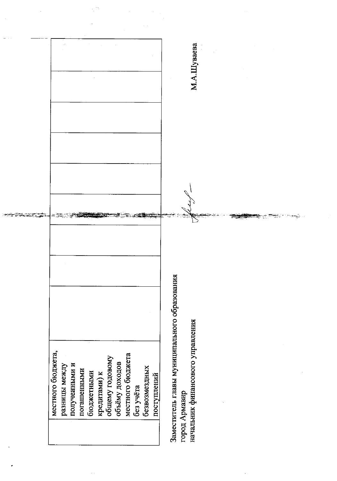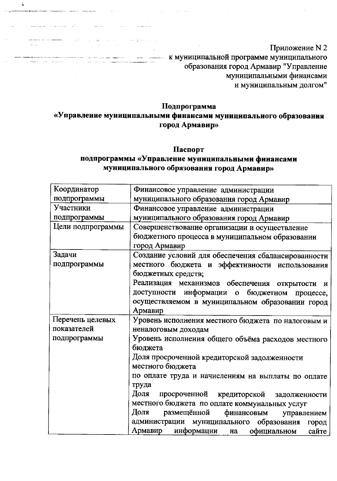Приложение N 2 - - - - - - к муниципальной программе муниципального образования город Армавир "Управление муниципальными финансами и муниципальным долгом"

## Подпрограмма

المخالق المستحق فقفات الممتاعات

î

<u> 1960 - Andrea Stadtweiser, fransk politiker (d. 19</u>

- Song Alberta (1958)

# «Управление муниципальными финансами муниципального образования город Армавир»

### Паспорт

# подпрограммы «Управление муниципальными финансами муниципального образования город Армавир»

| Координатор       | Финансовое управление администрации                 |  |  |  |  |  |
|-------------------|-----------------------------------------------------|--|--|--|--|--|
| подпрограммы      | муниципального образования город Армавир            |  |  |  |  |  |
| Участники         | Финансовое управление администрации                 |  |  |  |  |  |
| подпрограммы      | муниципального образования город Армавир            |  |  |  |  |  |
| Цели подпрограммы | Совершенствование организации и осуществление       |  |  |  |  |  |
|                   | бюджетного процесса в муниципальном образовании     |  |  |  |  |  |
|                   | город Армавир                                       |  |  |  |  |  |
| Задачи            | Создание условий для обеспечения сбалансированности |  |  |  |  |  |
| подпрограммы      | местного бюджета и эффективности использования      |  |  |  |  |  |
|                   | бюджетных средств;                                  |  |  |  |  |  |
|                   | Реализация механизмов обеспечения открытости и      |  |  |  |  |  |
|                   | доступности информации о бюджетном процессе,        |  |  |  |  |  |
|                   | осуществляемом в муниципальном образовании город    |  |  |  |  |  |
|                   | Армавир                                             |  |  |  |  |  |
| Перечень целевых  | Уровень исполнения местного бюджета по налоговым и  |  |  |  |  |  |
| показателей       | неналоговым доходам                                 |  |  |  |  |  |
| подпрограммы      | Уровень исполнения общего объёма расходов местного  |  |  |  |  |  |
|                   | бюджета                                             |  |  |  |  |  |
|                   | Доля просроченной кредиторской задолженности        |  |  |  |  |  |
|                   | местного бюджета                                    |  |  |  |  |  |
|                   | по оплате труда и начислениям на выплаты по оплате  |  |  |  |  |  |
|                   | труда                                               |  |  |  |  |  |
|                   | Доля<br>просроченной кредиторской задолженности     |  |  |  |  |  |
|                   | местного бюджета по оплате коммунальных услуг       |  |  |  |  |  |
|                   | Доля<br>размещённой<br>финансовым<br>управлением    |  |  |  |  |  |
|                   | администрации муниципального образования город      |  |  |  |  |  |
|                   | Армавир информации на<br>официальном<br>сайте       |  |  |  |  |  |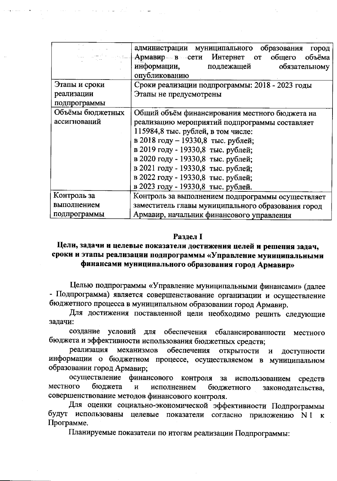|                                             | администрации муниципального образования<br>город<br><b>Армавир в сети Интернет от общего</b><br>объёма<br>информации, подлежащей<br>обязательному<br>опубликованию                                                                                                                                                                                                        |  |  |  |  |
|---------------------------------------------|----------------------------------------------------------------------------------------------------------------------------------------------------------------------------------------------------------------------------------------------------------------------------------------------------------------------------------------------------------------------------|--|--|--|--|
| Этапы и сроки<br>реализации<br>подпрограммы | Сроки реализации подпрограммы: 2018 - 2023 годы<br>Этапы не предусмотрены                                                                                                                                                                                                                                                                                                  |  |  |  |  |
| Объёмы бюджетных<br>ассигнований            | Общий объём финансирования местного бюджета на<br>реализацию мероприятий подпрограммы составляет<br>115984,8 тыс. рублей, в том числе:<br>в 2018 году - 19330,8 тыс. рублей;<br>в 2019 году - 19330,8 тыс. рублей;<br>в 2020 году - 19330,8 тыс. рублей;<br>в 2021 году - 19330,8 тыс. рублей;<br>в 2022 году - 19330,8 тыс. рублей;<br>в 2023 году - 19330,8 тыс. рублей. |  |  |  |  |
| Контроль за                                 | Контроль за выполнением подпрограммы осуществляет                                                                                                                                                                                                                                                                                                                          |  |  |  |  |
| выполнением                                 | заместитель главы муниципального образования город                                                                                                                                                                                                                                                                                                                         |  |  |  |  |
| подпрограммы                                | Армавир, начальник финансового управления                                                                                                                                                                                                                                                                                                                                  |  |  |  |  |

#### **Раздел I**

# Цели, задачи и целевые показатели достижения целей и решения задач, сроки и этапы реализации подпрограммы «Управление муниципальными финансами муниципального образования город Армавир»

Целью подпрограммы «Управление муниципальными финансами» (далее - Подпрограмма) является совершенствование организации и осуществление бюджетного процесса в муниципальном образовании город Армавир.

Для достижения поставленной цели необходимо решить следующие задачи:

создание условий для обеспечения сбалансированности местного бюджета и эффективности использования бюджетных средств;

реализация механизмов обеспечения открытости  $\mathbf{M}$ доступности информации о бюджетном процессе, осуществляемом в муниципальном образовании город Армавир;

осуществление финансового контроля за использованием средств местного бюджета  $\mathbf{H}$ исполнением бюджетного законодательства, совершенствование методов финансового контроля.

Для оценки социально-экономической эффективности Подпрограммы будут использованы целевые показатели согласно приложению N1 к Программе.

Планируемые показатели по итогам реализации Подпрограммы: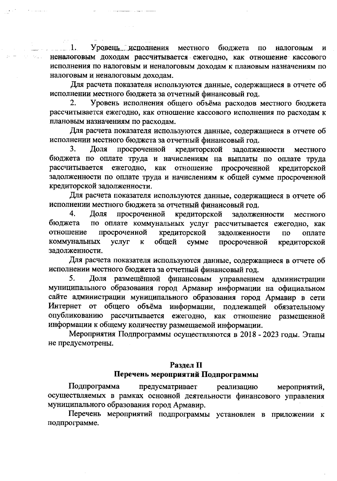Уровень исполнения местного бюджета по 1. налоговым  $\mathbf{M}$ неналоговым доходам рассчитывается ежегодно, как отношение кассового исполнения по налоговым и неналоговым доходам к плановым назначениям по налоговым и неналоговым доходам.

وللأرابط والمتوا

Для расчета показателя используются данные, содержащиеся в отчете об исполнении местного бюджета за отчетный финансовый год.

Уровень исполнения общего объёма расходов местного бюджета  $2.$ рассчитывается ежегодно, как отношение кассового исполнения по расходам к плановым назначениям по расходам.

Для расчета показателя используются данные, содержащиеся в отчете об исполнении местного бюджета за отчетный финансовый год.

3. Доля просроченной кредиторской задолженности местного бюджета по оплате труда и начислениям на выплаты по оплате труда рассчитывается ежегодно, как отношение просроченной кредиторской задолженности по оплате труда и начислениям к общей сумме просроченной кредиторской задолженности.

Для расчета показателя используются данные, содержащиеся в отчете об исполнении местного бюджета за отчетный финансовый год.

4. Доля просроченной кредиторской задолженности местного по оплате коммунальных услуг рассчитывается ежегодно, как бюджета отношение просроченной кредиторской задолженности  $\overline{u}$ оплате коммунальных услуг  $\mathbf{K}$ общей cymme просроченной кредиторской задолженности.

Для расчета показателя используются данные, содержащиеся в отчете об исполнении местного бюджета за отчетный финансовый год.

Доля размещённой финансовым управлением администрации 5. муниципального образования город Армавир информации на официальном сайте администрации муниципального образования город Армавир в сети Интернет от общего объёма информации, подлежащей обязательному опубликованию рассчитывается ежегодно, как отношение размещенной информации к общему количеству размещаемой информации.

Мероприятия Подпрограммы осуществляются в 2018 - 2023 годы. Этапы не предусмотрены.

### Раздел II Перечень мероприятий Подпрограммы

Подпрограмма предусматривает реализацию мероприятий, осуществляемых в рамках основной деятельности финансового управления муниципального образования город Армавир.

Перечень мероприятий подпрограммы установлен в приложении к подпрограмме.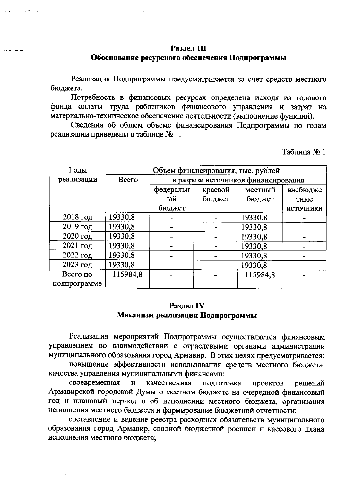### Раздел III

## <u> 1960-живание ресурсного обеспечения Подпрограммы</u>

Реализация Подпрограммы предусматривается за счет средств местного бюджета.

Потребность в финансовых ресурсах определена исходя из годового фонда оплаты труда работников финансового управления и затрат на материально-техническое обеспечение деятельности (выполнение функций).

Сведения об общем объеме финансирования Подпрограммы по годам реализации приведены в таблице № 1.

Таблица № 1

| Годы         | Объем финансирования, тыс. рублей |                                     |         |          |           |  |
|--------------|-----------------------------------|-------------------------------------|---------|----------|-----------|--|
| реализации   | <b>Bcero</b>                      | в разрезе источников финансирования |         |          |           |  |
|              |                                   | федеральн                           | краевой | местный  | внебюдже  |  |
|              |                                   | ый                                  | бюджет  | бюджет   | тные      |  |
|              |                                   | бюджет                              |         |          | источники |  |
| $2018$ год   | 19330,8                           |                                     |         | 19330,8  |           |  |
| 2019 год     | 19330,8                           |                                     |         | 19330,8  |           |  |
| 2020 год     | 19330,8                           |                                     |         | 19330,8  |           |  |
| $2021$ год   | 19330,8                           |                                     |         | 19330,8  |           |  |
| $2022$ год   | 19330,8                           |                                     |         | 19330,8  |           |  |
| $2023$ год   | 19330,8                           |                                     |         | 19330,8  |           |  |
| Всего по     | 115984,8                          |                                     |         | 115984,8 |           |  |
| подпрограмме |                                   |                                     |         |          |           |  |

### Раздел IV Механизм реализации Подпрограммы

Реализация мероприятий Подпрограммы осуществляется финансовым управлением во взаимодействии с отраслевыми органами администрации муниципального образования город Армавир. В этих целях предусматривается:

повышение эффективности использования средств местного бюджета, качества управления муниципальными финансами;

своевременная  $\mathbf{M}$ качественная подготовка решений проектов Армавирской городской Думы о местном бюджете на очередной финансовый год и плановый период и об исполнении местного бюджета, организация исполнения местного бюджета и формирование бюджетной отчетности;

составление и ведение реестра расходных обязательств муниципального образования город Армавир, сводной бюджетной росписи и кассового плана исполнения местного бюджета: